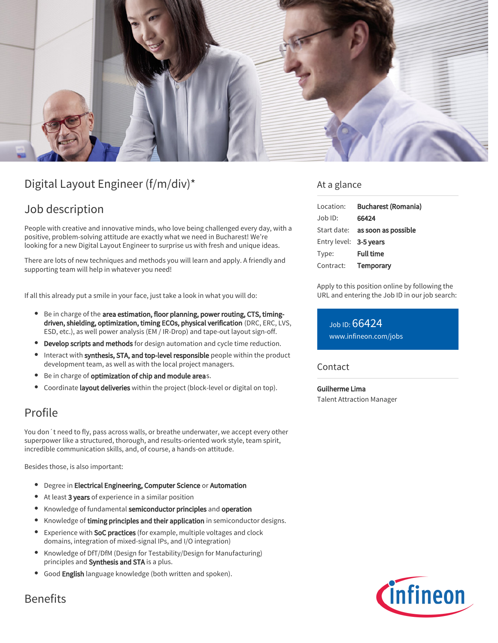

# Digital Layout Engineer (f/m/div)\*

## Job description

People with creative and innovative minds, who love being challenged every day, with a positive, problem-solving attitude are exactly what we need in Bucharest! We're looking for a new Digital Layout Engineer to surprise us with fresh and unique ideas.

There are lots of new techniques and methods you will learn and apply. A friendly and supporting team will help in whatever you need!

If all this already put a smile in your face, just take a look in what you will do:

- **•** Be in charge of the area estimation, floor planning, power routing, CTS, timingdriven, shielding, optimization, timing ECOs, physical verification (DRC, ERC, LVS, ESD, etc.), as well power analysis (EM / IR-Drop) and tape-out layout sign-off.
- **Develop scripts and methods** for design automation and cycle time reduction.
- Interact with synthesis, STA, and top-level responsible people within the product development team, as well as with the local project managers.
- Be in charge of optimization of chip and module areas.
- Coordinate layout deliveries within the project (block-level or digital on top).

### Profile

You don´t need to fly, pass across walls, or breathe underwater, we accept every other superpower like a structured, thorough, and results-oriented work style, team spirit, incredible communication skills, and, of course, a hands-on attitude.

Besides those, is also important:

- **•** Degree in Electrical Engineering, Computer Science or Automation
- At least 3 years of experience in a similar position
- Knowledge of fundamental semiconductor principles and operation
- $\bullet$ Knowledge of timing principles and their application in semiconductor designs.
- $\bullet$ Experience with SoC practices (for example, multiple voltages and clock domains, integration of mixed-signal IPs, and I/O integration)
- Knowledge of DfT/DfM (Design for Testability/Design for Manufacturing) principles and Synthesis and STA is a plus.
- Good English language knowledge (both written and spoken).

#### At a glance

| Location:              | <b>Bucharest (Romania)</b>             |
|------------------------|----------------------------------------|
| Job ID:                | 66424                                  |
|                        | Start date: <b>as soon as possible</b> |
| Entry level: 3-5 years |                                        |
| Type:                  | <b>Full time</b>                       |
| Contract:              | Temporary                              |

Apply to this position online by following the URL and entering the Job ID in our job search:

Job ID: 66424 [www.infineon.com/jobs](https://www.infineon.com/jobs)

#### **Contact**

Guilherme Lima Talent Attraction Manager



### Benefits